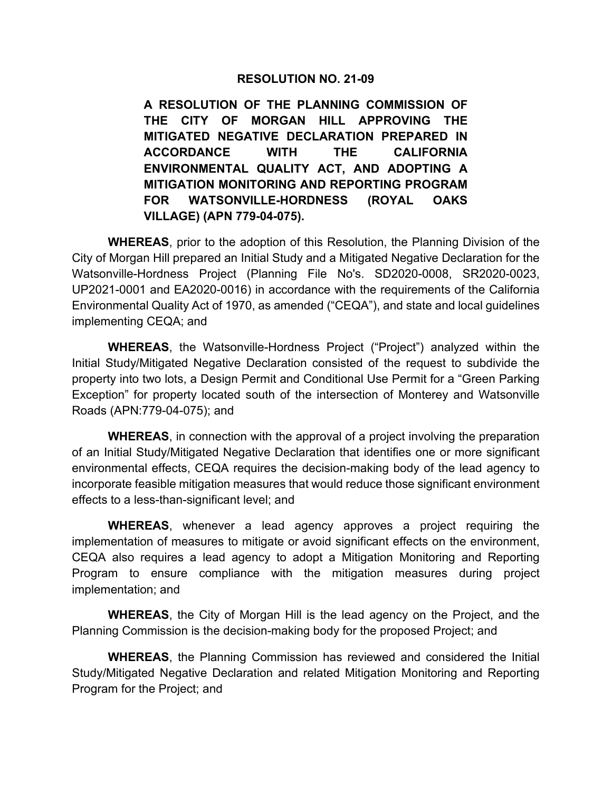## **RESOLUTION NO. 21-09**

**A RESOLUTION OF THE PLANNING COMMISSION OF THE CITY OF MORGAN HILL APPROVING THE MITIGATED NEGATIVE DECLARATION PREPARED IN ACCORDANCE WITH THE CALIFORNIA ENVIRONMENTAL QUALITY ACT, AND ADOPTING A MITIGATION MONITORING AND REPORTING PROGRAM FOR WATSONVILLE-HORDNESS (ROYAL OAKS VILLAGE) (APN 779-04-075).**

**WHEREAS**, prior to the adoption of this Resolution, the Planning Division of the City of Morgan Hill prepared an Initial Study and a Mitigated Negative Declaration for the Watsonville-Hordness Project (Planning File No's. SD2020-0008, SR2020-0023, UP2021-0001 and EA2020-0016) in accordance with the requirements of the California Environmental Quality Act of 1970, as amended ("CEQA"), and state and local guidelines implementing CEQA; and

**WHEREAS**, the Watsonville-Hordness Project ("Project") analyzed within the Initial Study/Mitigated Negative Declaration consisted of the request to subdivide the property into two lots, a Design Permit and Conditional Use Permit for a "Green Parking Exception" for property located south of the intersection of Monterey and Watsonville Roads (APN:779-04-075); and

**WHEREAS**, in connection with the approval of a project involving the preparation of an Initial Study/Mitigated Negative Declaration that identifies one or more significant environmental effects, CEQA requires the decision-making body of the lead agency to incorporate feasible mitigation measures that would reduce those significant environment effects to a less-than-significant level; and

**WHEREAS**, whenever a lead agency approves a project requiring the implementation of measures to mitigate or avoid significant effects on the environment, CEQA also requires a lead agency to adopt a Mitigation Monitoring and Reporting Program to ensure compliance with the mitigation measures during project implementation; and

**WHEREAS**, the City of Morgan Hill is the lead agency on the Project, and the Planning Commission is the decision-making body for the proposed Project; and

**WHEREAS**, the Planning Commission has reviewed and considered the Initial Study/Mitigated Negative Declaration and related Mitigation Monitoring and Reporting Program for the Project; and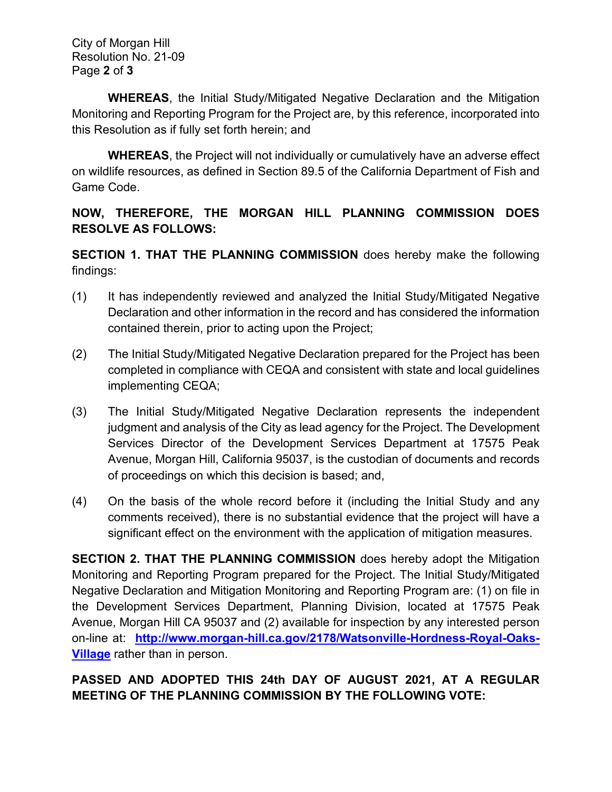City of Morgan Hill Resolution No. 21-09 Page **2** of **3**

**WHEREAS**, the Initial Study/Mitigated Negative Declaration and the Mitigation Monitoring and Reporting Program for the Project are, by this reference, incorporated into this Resolution as if fully set forth herein; and

**WHEREAS**, the Project will not individually or cumulatively have an adverse effect on wildlife resources, as defined in Section 89.5 of the California Department of Fish and Game Code.

## **NOW, THEREFORE, THE MORGAN HILL PLANNING COMMISSION DOES RESOLVE AS FOLLOWS:**

**SECTION 1. THAT THE PLANNING COMMISSION** does hereby make the following findings:

- (1) It has independently reviewed and analyzed the Initial Study/Mitigated Negative Declaration and other information in the record and has considered the information contained therein, prior to acting upon the Project;
- (2) The Initial Study/Mitigated Negative Declaration prepared for the Project has been completed in compliance with CEQA and consistent with state and local guidelines implementing CEQA;
- (3) The Initial Study/Mitigated Negative Declaration represents the independent judgment and analysis of the City as lead agency for the Project. The Development Services Director of the Development Services Department at 17575 Peak Avenue, Morgan Hill, California 95037, is the custodian of documents and records of proceedings on which this decision is based; and,
- (4) On the basis of the whole record before it (including the Initial Study and any comments received), there is no substantial evidence that the project will have a significant effect on the environment with the application of mitigation measures.

**SECTION 2. THAT THE PLANNING COMMISSION** does hereby adopt the Mitigation Monitoring and Reporting Program prepared for the Project. The Initial Study/Mitigated Negative Declaration and Mitigation Monitoring and Reporting Program are: (1) on file in the Development Services Department, Planning Division, located at 17575 Peak Avenue, Morgan Hill CA 95037 and (2) available for inspection by any interested person on-line at: **[http://www.morgan-hill.ca.gov/2178/Watsonville-Hordness-Royal-Oaks-](http://www.morgan-hill.ca.gov/2178/Watsonville-Hordness-Royal-Oaks-Village)[Village](http://www.morgan-hill.ca.gov/2178/Watsonville-Hordness-Royal-Oaks-Village)** rather than in person.

## **PASSED AND ADOPTED THIS 24th DAY OF AUGUST 2021, AT A REGULAR MEETING OF THE PLANNING COMMISSION BY THE FOLLOWING VOTE:**